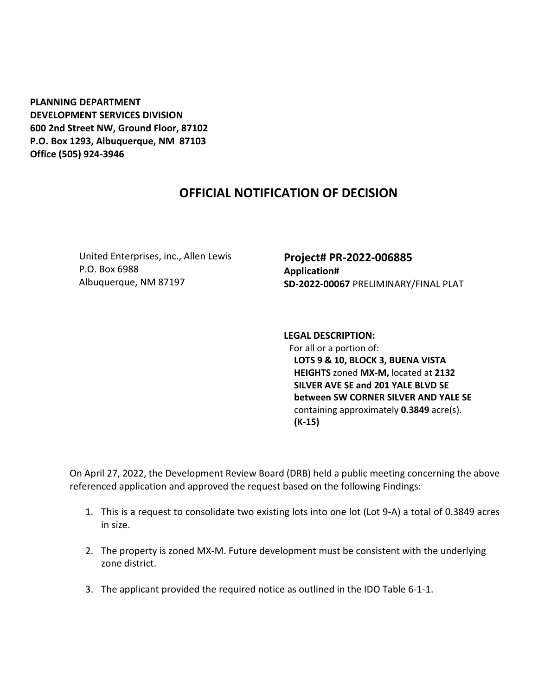**PLANNING DEPARTMENT DEVELOPMENT SERVICES DIVISION 600 2nd Street NW, Ground Floor, 87102 P.O. Box 1293, Albuquerque, NM 87103 Office (505) 924-3946** 

## **OFFICIAL NOTIFICATION OF DECISION**

United Enterprises, inc., Allen Lewis P.O. Box 6988 Albuquerque, NM 87197

**Project# PR-2022-006885 Application# SD-2022-00067** PRELIMINARY/FINAL PLAT

**LEGAL DESCRIPTION:** For all or a portion of: **LOTS 9 & 10, BLOCK 3, BUENA VISTA HEIGHTS** zoned **MX-M,** located at **2132 SILVER AVE SE and 201 YALE BLVD SE between SW CORNER SILVER AND YALE SE**  containing approximately **0.3849** acre(s). **(K-15)**

On April 27, 2022, the Development Review Board (DRB) held a public meeting concerning the above referenced application and approved the request based on the following Findings:

- 1. This is a request to consolidate two existing lots into one lot (Lot 9-A) a total of 0.3849 acres in size.
- 2. The property is zoned MX-M. Future development must be consistent with the underlying zone district.
- 3. The applicant provided the required notice as outlined in the IDO Table 6-1-1.